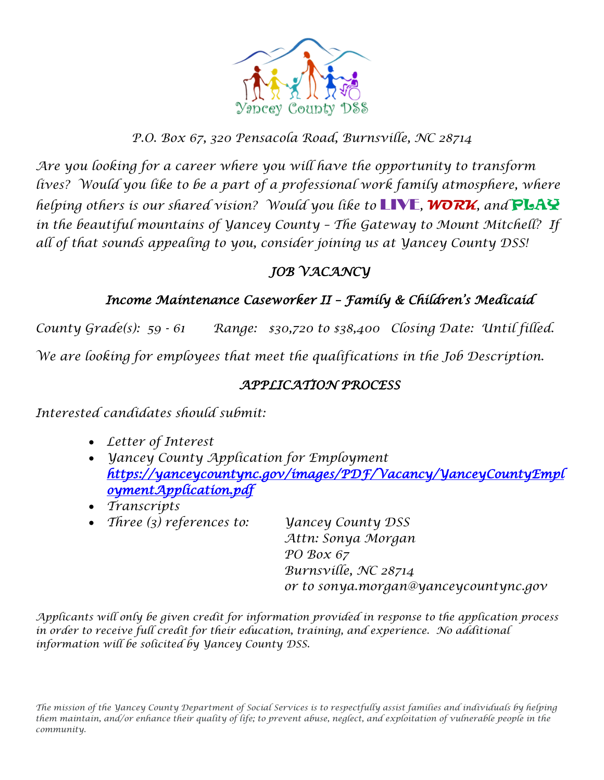

#### *P.O. Box 67, 320 Pensacola Road, Burnsville, NC 28714*

*Are you looking for a career where you will have the opportunity to transform* lives? Would you like to be a part of a professional work family atmosphere, where *helping others is our shared vision? Would you like to* LIVE*,* **WORK***, and* PLAY *in the beautiful mountains of Yancey County – The Gateway to Mount Mitchell? If all of that sounds appealing to you, consider joining us at Yancey County DSS!* 

### *JOB VACANCY*

#### *Income Maintenance Caseworker II – Family & Children's Medicaid*

*County Grade(s): 59 - 61 Range: \$30,720 to \$38,400 Closing Date: Until filled. We are looking for employees that meet the qualifications in the Job Description.*

#### *APPLICATION PROCESS*

*Interested candidates should submit:*

- *Letter of Interest*
- *Yancey County Application for Employment [https://yanceycountync.gov/images/PDF/Vacancy/YanceyCountyEmpl](https://yanceycountync.gov/images/PDF/Vacancy/YanceyCountyEmploymentApplication.pdf) [oymentApplication.pdf](https://yanceycountync.gov/images/PDF/Vacancy/YanceyCountyEmploymentApplication.pdf)*
- *Transcripts*
- *Three (3) references to: Yancey County DSS*

*Attn: Sonya Morgan PO Box 67 Burnsville, NC 28714 or to sonya.morgan@yanceycountync.gov*

*Applicants will only be given credit for information provided in response to the application process in order to receive full credit for their education, training, and experience. No additional information will be solicited by Yancey County DSS.*

*The mission of the Yancey County Department of Social Services is to respectfully assist families and individuals by helping them maintain, and/or enhance their quality of life; to prevent abuse, neglect, and exploitation of vulnerable people in the community.*